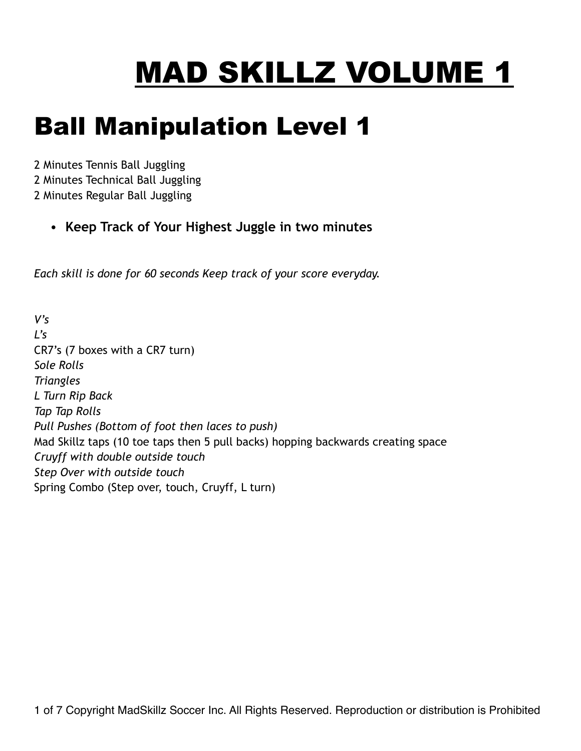# MAD SKILLZ VOLUME 1

### Ball Manipulation Level 1

2 Minutes Tennis Ball Juggling 2 Minutes Technical Ball Juggling 2 Minutes Regular Ball Juggling

**• Keep Track of Your Highest Juggle in two minutes** 

*Each skill is done for 60 seconds Keep track of your score everyday.*

*V's*   $L's$ CR7's (7 boxes with a CR7 turn) *Sole Rolls Triangles L Turn Rip Back Tap Tap Rolls Pull Pushes (Bottom of foot then laces to push)*  Mad Skillz taps (10 toe taps then 5 pull backs) hopping backwards creating space *Cruyff with double outside touch Step Over with outside touch* Spring Combo (Step over, touch, Cruyff, L turn)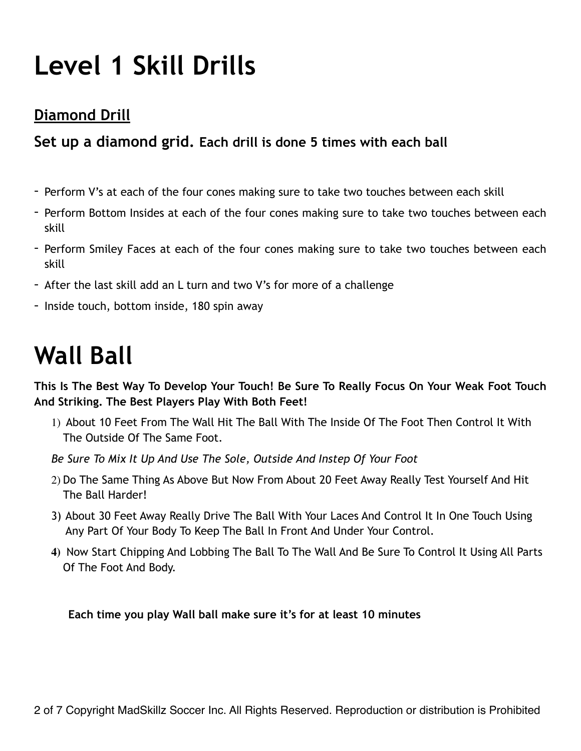## **Level 1 Skill Drills**

#### **Diamond Drill**

#### **Set up a diamond grid. Each drill is done 5 times with each ball**

- Perform V's at each of the four cones making sure to take two touches between each skill
- Perform Bottom Insides at each of the four cones making sure to take two touches between each skill
- Perform Smiley Faces at each of the four cones making sure to take two touches between each skill
- After the last skill add an L turn and two V's for more of a challenge
- Inside touch, bottom inside, 180 spin away

### **Wall Ball**

**This Is The Best Way To Develop Your Touch! Be Sure To Really Focus On Your Weak Foot Touch And Striking. The Best Players Play With Both Feet!**

- 1) About 10 Feet From The Wall Hit The Ball With The Inside Of The Foot Then Control It With The Outside Of The Same Foot.
- *Be Sure To Mix It Up And Use The Sole, Outside And Instep Of Your Foot*
- 2) Do The Same Thing As Above But Now From About 20 Feet Away Really Test Yourself And Hit The Ball Harder!
- 3) About 30 Feet Away Really Drive The Ball With Your Laces And Control It In One Touch Using Any Part Of Your Body To Keep The Ball In Front And Under Your Control.
- **4)** Now Start Chipping And Lobbing The Ball To The Wall And Be Sure To Control It Using All Parts Of The Foot And Body.

**Each time you play Wall ball make sure it's for at least 10 minutes**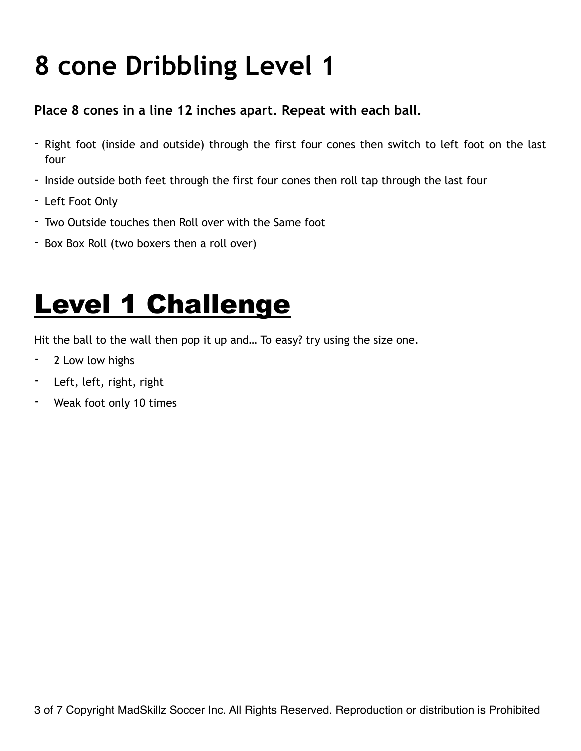## **8 cone Dribbling Level 1**

#### **Place 8 cones in a line 12 inches apart. Repeat with each ball.**

- Right foot (inside and outside) through the first four cones then switch to left foot on the last four
- Inside outside both feet through the first four cones then roll tap through the last four
- Left Foot Only
- Two Outside touches then Roll over with the Same foot
- Box Box Roll (two boxers then a roll over)

## **Level 1 Challenge**

Hit the ball to the wall then pop it up and… To easy? try using the size one.

- 2 Low low highs
- Left, left, right, right
- Weak foot only 10 times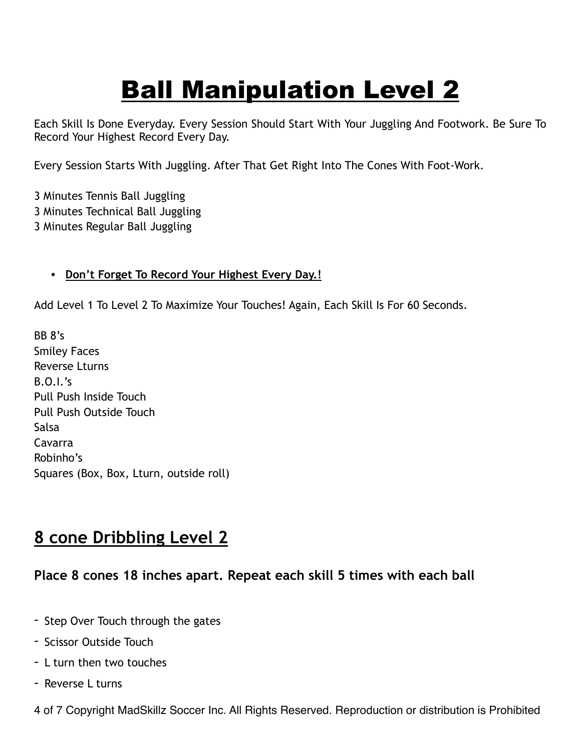## Ball Manipulation Level 2

Each Skill Is Done Everyday. Every Session Should Start With Your Juggling And Footwork. Be Sure To Record Your Highest Record Every Day.

Every Session Starts With Juggling. After That Get Right Into The Cones With Foot-Work.

3 Minutes Tennis Ball Juggling 3 Minutes Technical Ball Juggling 3 Minutes Regular Ball Juggling

#### **• Don't Forget To Record Your Highest Every Day.!**

Add Level 1 To Level 2 To Maximize Your Touches! Again, Each Skill Is For 60 Seconds.

BB 8's Smiley Faces Reverse Lturns B.O.I.'s Pull Push Inside Touch Pull Push Outside Touch Salsa Cavarra Robinho's Squares (Box, Box, Lturn, outside roll)

#### **8 cone Dribbling Level 2**

#### **Place 8 cones 18 inches apart. Repeat each skill 5 times with each ball**

- Step Over Touch through the gates
- Scissor Outside Touch
- L turn then two touches
- Reverse L turns

4 of 7 Copyright MadSkillz Soccer Inc. All Rights Reserved. Reproduction or distribution is Prohibited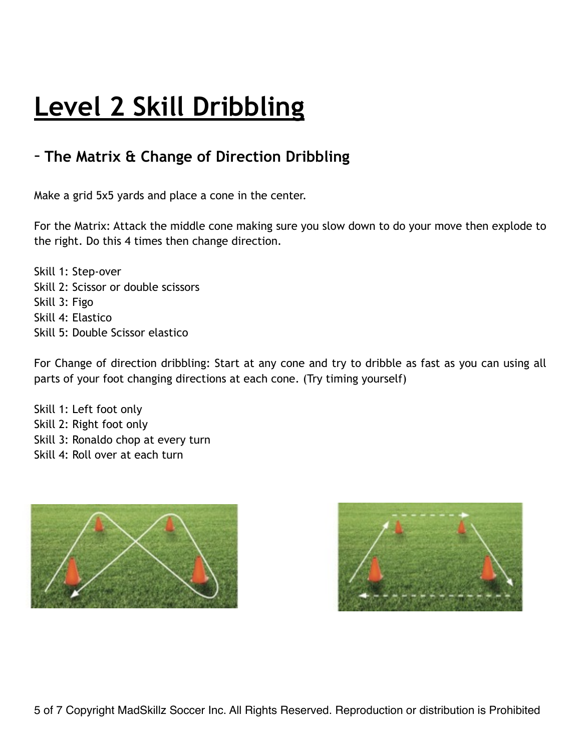### **Level 2 Skill Dribbling**

#### - **The Matrix & Change of Direction Dribbling**

Make a grid 5x5 yards and place a cone in the center.

For the Matrix: Attack the middle cone making sure you slow down to do your move then explode to the right. Do this 4 times then change direction.

Skill 1: Step-over Skill 2: Scissor or double scissors Skill 3: Figo Skill 4: Elastico Skill 5: Double Scissor elastico

For Change of direction dribbling: Start at any cone and try to dribble as fast as you can using all parts of your foot changing directions at each cone. (Try timing yourself)

Skill 1: Left foot only Skill 2: Right foot only Skill 3: Ronaldo chop at every turn Skill 4: Roll over at each turn



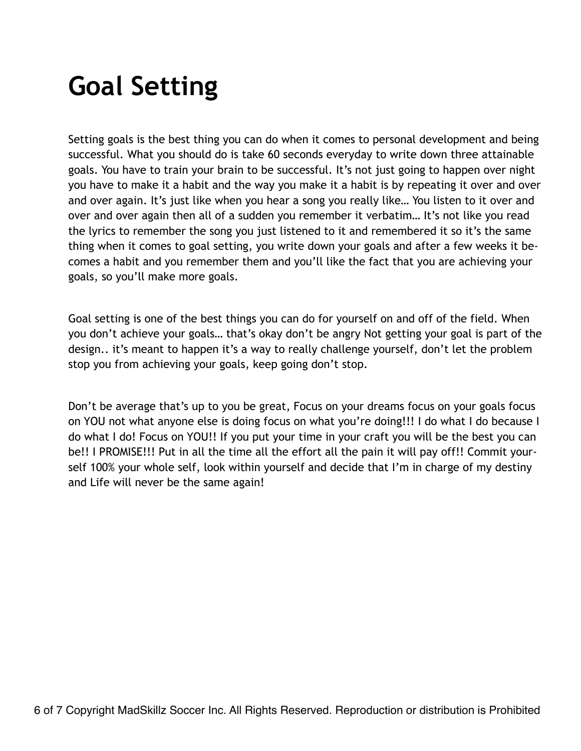## **Goal Setting**

Setting goals is the best thing you can do when it comes to personal development and being successful. What you should do is take 60 seconds everyday to write down three attainable goals. You have to train your brain to be successful. It's not just going to happen over night you have to make it a habit and the way you make it a habit is by repeating it over and over and over again. It's just like when you hear a song you really like… You listen to it over and over and over again then all of a sudden you remember it verbatim… It's not like you read the lyrics to remember the song you just listened to it and remembered it so it's the same thing when it comes to goal setting, you write down your goals and after a few weeks it becomes a habit and you remember them and you'll like the fact that you are achieving your goals, so you'll make more goals.

Goal setting is one of the best things you can do for yourself on and off of the field. When you don't achieve your goals… that's okay don't be angry Not getting your goal is part of the design.. it's meant to happen it's a way to really challenge yourself, don't let the problem stop you from achieving your goals, keep going don't stop.

Don't be average that's up to you be great, Focus on your dreams focus on your goals focus on YOU not what anyone else is doing focus on what you're doing!!! I do what I do because I do what I do! Focus on YOU!! If you put your time in your craft you will be the best you can be!! I PROMISE!!! Put in all the time all the effort all the pain it will pay off!! Commit yourself 100% your whole self, look within yourself and decide that I'm in charge of my destiny and Life will never be the same again!